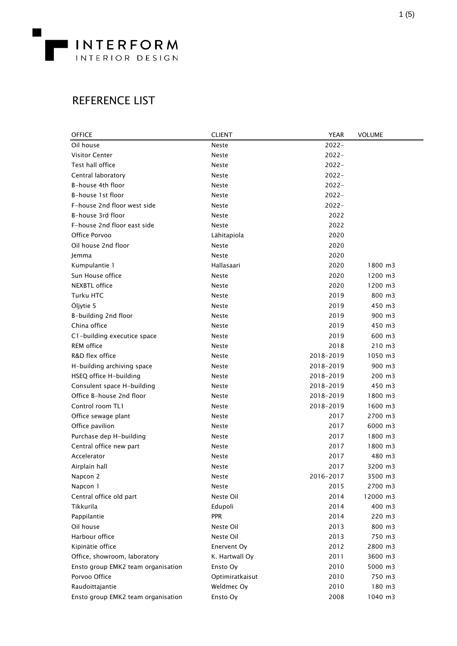

## REFERENCE LIST

| <b>OFFICE</b>                      | <b>CLIENT</b>   | <b>YEAR</b> | <b>VOLUME</b> |
|------------------------------------|-----------------|-------------|---------------|
| Oil house                          | <b>Neste</b>    | $2022 -$    |               |
| <b>Visitor Center</b>              | <b>Neste</b>    | $2022 -$    |               |
| Test hall office                   | <b>Neste</b>    | $2022 -$    |               |
| Central laboratory                 | <b>Neste</b>    | $2022 -$    |               |
| B-house 4th floor                  | <b>Neste</b>    | $2022 -$    |               |
| B-house 1st floor                  | <b>Neste</b>    | $2022 -$    |               |
| F-house 2nd floor west side        | <b>Neste</b>    | $2022 -$    |               |
| B-house 3rd floor                  | <b>Neste</b>    | 2022        |               |
| F-house 2nd floor east side        | <b>Neste</b>    | 2022        |               |
| Office Porvoo                      | Lähitapiola     | 2020        |               |
| Oil house 2nd floor                | <b>Neste</b>    | 2020        |               |
| Jemma                              | <b>Neste</b>    | 2020        |               |
| Kumpulantie 1                      | Hallasaari      | 2020        | 1800 m3       |
| Sun House office                   | Neste           | 2020        | 1200 m3       |
| NEXBTL office                      | <b>Neste</b>    | 2020        | 1200 m3       |
| Turku HTC                          | <b>Neste</b>    | 2019        | 800 m3        |
| Öljytie 5                          | <b>Neste</b>    | 2019        | 450 m3        |
| B-building 2nd floor               | <b>Neste</b>    | 2019        | 900 m3        |
| China office                       | <b>Neste</b>    | 2019        | 450 m3        |
| C1-building executice space        | <b>Neste</b>    | 2019        | 600 m3        |
| <b>REM</b> office                  | <b>Neste</b>    | 2018        | 210 m3        |
| R&D flex office                    | <b>Neste</b>    | 2018-2019   | 1050 m3       |
| H-building archiving space         | <b>Neste</b>    | 2018-2019   | 900 m3        |
| HSEQ office H-building             | <b>Neste</b>    | 2018-2019   | 200 m3        |
| Consulent space H-building         | <b>Neste</b>    | 2018-2019   | 450 m3        |
| Office B-house 2nd floor           | <b>Neste</b>    | 2018-2019   | 1800 m3       |
| Control room TL1                   | <b>Neste</b>    | 2018-2019   | 1600 m3       |
| Office sewage plant                | <b>Neste</b>    | 2017        | 2700 m3       |
| Office pavilion                    | <b>Neste</b>    | 2017        | 6000 m3       |
| Purchase dep H-building            | <b>Neste</b>    | 2017        | 1800 m3       |
| Central office new part            | <b>Neste</b>    | 2017        | 1800 m3       |
| Accelerator                        | <b>Neste</b>    | 2017        | 480 m3        |
| Airplain hall                      | <b>Neste</b>    | 2017        | 3200 m3       |
| Napcon 2                           | Neste           | 2016-2017   | 3500 m3       |
| Napcon 1                           | <b>Neste</b>    | 2015        | 2700 m3       |
| Central office old part            | Neste Oil       | 2014        | 12000 m3      |
| Tikkurila                          | Edupoli         | 2014        | 400 m3        |
| Pappilantie                        | <b>PPR</b>      | 2014        | 220 m3        |
| Oil house                          | Neste Oil       | 2013        | 800 m3        |
| Harbour office                     | Neste Oil       | 2013        | 750 m3        |
| Kipinätie office                   | Enervent Oy     | 2012        | 2800 m3       |
| Office, showroom, laboratory       | K. Hartwall Oy  | 2011        | 3600 m3       |
| Ensto group EMK2 team organisation | Ensto Oy        | 2010        | 5000 m3       |
| Porvoo Office                      | Optimiratkaisut | 2010        | 750 m3        |
| Raudoittajantie                    | Weldmec Oy      | 2010        | 180 m3        |
| Ensto group EMK2 team organisation | Ensto Oy        | 2008        | 1040 m3       |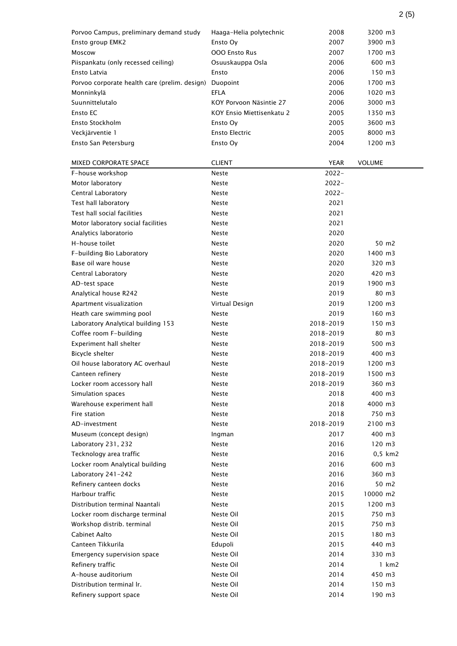| Porvoo Campus, preliminary demand study       | Haaga-Helia polytechnic   | 2008        | 3200 m3         |
|-----------------------------------------------|---------------------------|-------------|-----------------|
| Ensto group EMK2                              | Ensto Oy                  | 2007        | 3900 m3         |
| Moscow                                        | <b>OOO Ensto Rus</b>      | 2007        | 1700 m3         |
| Piispankatu (only recessed ceiling)           | Osuuskauppa Osla          | 2006        | 600 m3          |
| Ensto Latvia                                  | Ensto                     | 2006        | 150 m3          |
| Porvoo corporate health care (prelim. design) | Duopoint                  | 2006        | 1700 m3         |
| Monninkylä                                    | <b>EFLA</b>               | 2006        | 1020 m3         |
| Suunnittelutalo                               | KOY Porvoon Näsintie 27   | 2006        | 3000 m3         |
| Ensto EC                                      | KOY Ensio Miettisenkatu 2 | 2005        | 1350 m3         |
| Ensto Stockholm                               | Ensto Oy                  | 2005        | 3600 m3         |
| Veckjärventie 1                               | <b>Ensto Electric</b>     | 2005        | 8000 m3         |
| Ensto San Petersburg                          | Ensto Oy                  | 2004        | 1200 m3         |
|                                               |                           |             |                 |
| <b>MIXED CORPORATE SPACE</b>                  | <b>CLIENT</b>             | <b>YEAR</b> | <b>VOLUME</b>   |
| F-house workshop                              | <b>Neste</b>              | $2022 -$    |                 |
| Motor laboratory                              | Neste                     | $2022 -$    |                 |
| Central Laboratory                            | <b>Neste</b>              | $2022 -$    |                 |
| Test hall laboratory                          | Neste                     | 2021        |                 |
| Test hall social facilities                   | Neste                     | 2021        |                 |
| Motor laboratory social facilities            | Neste                     | 2021        |                 |
| Analytics laboratorio                         | Neste                     | 2020        |                 |
| H-house toilet                                | Neste                     | 2020        | 50 m2           |
| F-building Bio Laboratory                     | Neste                     | 2020        | 1400 m3         |
| Base oil ware house                           | Neste                     | 2020        | 320 m3          |
| Central Laboratory                            | Neste                     | 2020        | 420 m3          |
| AD-test space                                 | Neste                     | 2019        | 1900 m3         |
| Analytical house R242                         | Neste                     | 2019        | 80 m3           |
| Apartment visualization                       | Virtual Design            | 2019        | 1200 m3         |
| Heath care swimming pool                      | Neste                     | 2019        | 160 m3          |
| Laboratory Analytical building 153            | Neste                     | 2018-2019   | 150 m3          |
| Coffee room F-building                        | Neste                     | 2018-2019   | 80 m3           |
| Experiment hall shelter                       | Neste                     | 2018-2019   | 500 m3          |
| Bicycle shelter                               | <b>Neste</b>              | 2018-2019   | 400 m3          |
| Oil house laboratory AC overhaul              | Neste                     | 2018-2019   | 1200 m3         |
| Canteen refinery                              | Neste                     | 2018-2019   | 1500 m3         |
| Locker room accessory hall                    | Neste                     | 2018-2019   | 360 m3          |
| Simulation spaces                             | Neste                     | 2018        | 400 m3          |
| Warehouse experiment hall                     | Neste                     | 2018        | 4000 m3         |
| Fire station                                  | <b>Neste</b>              | 2018        | 750 m3          |
| AD-investment                                 | Neste                     | 2018-2019   | 2100 m3         |
| Museum (concept design)                       | Ingman                    | 2017        | 400 m3          |
| Laboratory 231, 232                           | <b>Neste</b>              | 2016        | $120 \text{ m}$ |
| Tecknology area traffic                       | Neste                     | 2016        | $0,5$ km $2$    |
| Locker room Analytical building               | Neste                     | 2016        | 600 m3          |
| Laboratory 241-242                            | Neste                     | 2016        | 360 m3          |
| Refinery canteen docks                        | Neste                     | 2016        | 50 m2           |
| Harbour traffic                               | Neste                     | 2015        | 10000 m2        |
| Distribution terminal Naantali                | Neste                     | 2015        | 1200 m3         |
| Locker room discharge terminal                | Neste Oil                 | 2015        | 750 m3          |
| Workshop distrib. terminal                    | Neste Oil                 | 2015        | 750 m3          |
| Cabinet Aalto                                 | Neste Oil                 | 2015        | 180 m3          |
| Canteen Tikkurila                             | Edupoli                   | 2015        | 440 m3          |
| Emergency supervision space                   | Neste Oil                 | 2014        | 330 m3          |
| Refinery traffic                              | Neste Oil                 | 2014        | 1 km2           |
| A-house auditorium                            | Neste Oil                 | 2014        | 450 m3          |
| Distribution terminal Ir.                     | Neste Oil                 | 2014        | 150 m3          |
| Refinery support space                        | Neste Oil                 | 2014        | 190 m3          |

2 (5)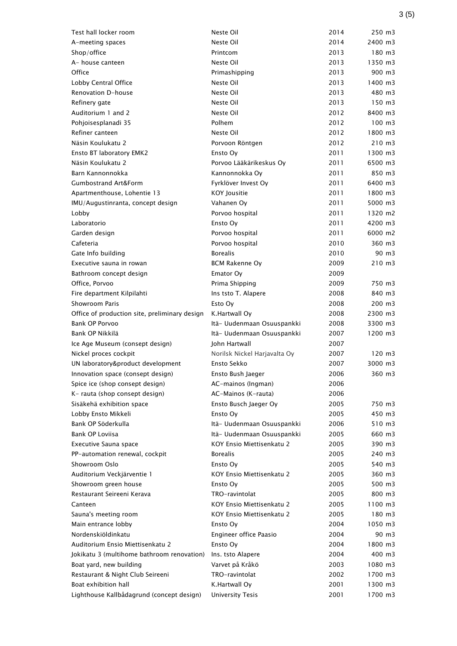| Test hall locker room                         | Neste Oil                    | 2014 | 250 m3              |
|-----------------------------------------------|------------------------------|------|---------------------|
| A-meeting spaces                              | Neste Oil                    | 2014 | 2400 m3             |
| Shop/office                                   | Printcom                     | 2013 | 180 m3              |
| A- house canteen                              | Neste Oil                    | 2013 | 1350 m3             |
| Office                                        | Primashipping                | 2013 | 900 m3              |
| Lobby Central Office                          | Neste Oil                    | 2013 | 1400 m3             |
| Renovation D-house                            | Neste Oil                    | 2013 | 480 m3              |
| Refinery gate                                 | Neste Oil                    | 2013 | 150 m3              |
| Auditorium 1 and 2                            | Neste Oil                    | 2012 | 8400 m3             |
| Pohjoisesplanadi 35                           | Polhem                       | 2012 | $100 \, m3$         |
| Refiner canteen                               | Neste Oil                    | 2012 | 1800 m3             |
| Näsin Koulukatu 2                             | Porvoon Röntgen              | 2012 | 210 m3              |
| Ensto BT laboratory EMK2                      | Ensto Oy                     | 2011 | 1300 m3             |
| Näsin Koulukatu 2                             | Porvoo Lääkärikeskus Oy      | 2011 | 6500 m3             |
| Barn Kannonnokka                              | Kannonnokka Oy               | 2011 | 850 m3              |
| <b>Gumbostrand Art&amp;Form</b>               | Fyrklöver Invest Oy          | 2011 | 6400 m3             |
| Apartmenthouse, Lohentie 13                   | <b>KOY Jousitie</b>          | 2011 | 1800 m3             |
| IMU/Augustinranta, concept design             | Vahanen Ov                   | 2011 | 5000 m3             |
| Lobby                                         | Porvoo hospital              | 2011 | 1320 m2             |
| Laboratorio                                   | Ensto Ov                     | 2011 | 4200 m3             |
| Garden design                                 | Porvoo hospital              | 2011 | 6000 m2             |
| Cafeteria                                     | Porvoo hospital              | 2010 | 360 m3              |
| Gate Info building                            | <b>Borealis</b>              | 2010 | 90 m3               |
| Executive sauna in rowan                      | <b>BCM Rakenne Oy</b>        | 2009 | 210 m3              |
| Bathroom concept design                       | Emator Oy                    | 2009 |                     |
| Office, Porvoo                                | Prima Shipping               | 2009 | 750 m3              |
| Fire department Kilpilahti                    | Ins tsto T. Alapere          | 2008 | 840 m3              |
| Showroom Paris                                | Esto Oy                      | 2008 | 200 m3              |
| Office of production site, preliminary design | K.Hartwall Oy                | 2008 | 2300 m3             |
| Bank OP Porvoo                                | Itä- Uudenmaan Osuuspankki   | 2008 | 3300 m3             |
| Bank OP Nikkilä                               | Itä- Uudenmaan Osuuspankki   | 2007 | 1200 m3             |
| Ice Age Museum (consept design)               | John Hartwall                | 2007 |                     |
| Nickel proces cockpit                         | Norilsk Nickel Harjavalta Oy | 2007 | $120 \; \text{m}$ 3 |
| UN laboratory&product development             | Ensto Sekko                  | 2007 | 3000 m3             |
| Innovation space (consept design)             | Ensto Bush Jaeger            | 2006 | 360 m3              |
| Spice ice (shop consept design)               | AC-mainos (Ingman)           | 2006 |                     |
| K- rauta (shop consept design)                | AC-Mainos (K-rauta)          | 2006 |                     |
| Sisäkehä exhibition space                     | Ensto Busch Jaeger Oy        | 2005 | 750 m3              |
| Lobby Ensto Mikkeli                           | Ensto Oy                     | 2005 | 450 m3              |
| Bank OP Söderkulla                            | Itä- Uudenmaan Osuuspankki   | 2006 | 510 m3              |
| Bank OP Loviisa                               | Itä- Uudenmaan Osuuspankki   | 2005 | 660 m3              |
| <b>Executive Sauna space</b>                  | KOY Ensio Miettisenkatu 2    | 2005 | 390 m3              |
| PP-automation renewal, cockpit                | Borealis                     | 2005 | 240 m3              |
| Showroom Oslo                                 | Ensto Oy                     | 2005 | 540 m3              |
| Auditorium Veckjärventie 1                    | KOY Ensio Miettisenkatu 2    | 2005 | 360 m3              |
| Showroom green house                          | Ensto Oy                     | 2005 | 500 m3              |
| Restaurant Seireeni Kerava                    | TRO-ravintolat               | 2005 | 800 m3              |
| Canteen                                       | KOY Ensio Miettisenkatu 2    | 2005 | $1100 \; m3$        |
| Sauna's meeting room                          | KOY Ensio Miettisenkatu 2    | 2005 | 180 m3              |
| Main entrance lobby                           | Ensto Oy                     | 2004 | 1050 m3             |
| Nordenskiöldinkatu                            | Engineer office Paasio       | 2004 | 90 m3               |
| Auditorium Ensio Miettisenkatu 2              | Ensto Oy                     | 2004 | 1800 m3             |
| Jokikatu 3 (multihome bathroom renovation)    | Ins. tsto Alapere            | 2004 | 400 m3              |
| Boat yard, new building                       | Varvet på Kråkö              | 2003 | 1080 m3             |
| Restaurant & Night Club Seireeni              | TRO-ravintolat               | 2002 | 1700 m3             |
| Boat exhibition hall                          | K.Hartwall Oy                | 2001 | 1300 m3             |
| Lighthouse Kallbådagrund (concept design)     | <b>University Tesis</b>      | 2001 | 1700 m3             |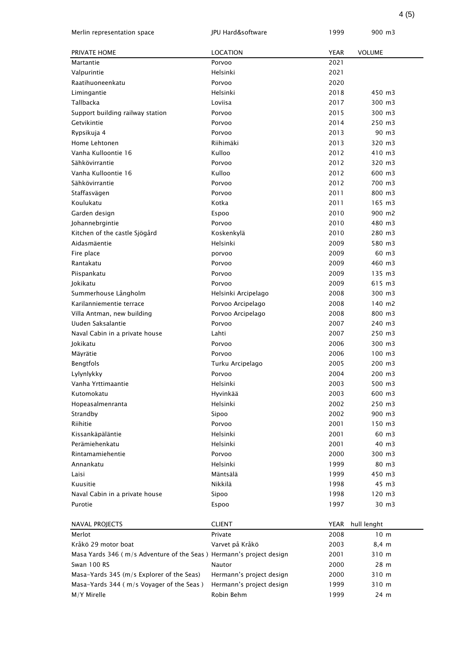| <b>LOCATION</b><br><b>YEAR</b><br><b>VOLUME</b><br>PRIVATE HOME<br>2021<br>Martantie<br>Porvoo<br>Valpurintie<br>Helsinki<br>2021<br>Raatihuoneenkatu<br>2020<br>Porvoo<br>Helsinki<br>2018<br>Limingantie<br>450 m3<br>Tallbacka<br>2017<br>300 m3<br>Loviisa<br>2015<br>300 m3<br>Support building railway station<br>Porvoo<br>2014<br>250 m3<br>Getvikintie<br>Porvoo<br>Porvoo<br>2013<br>90 m3<br>Rypsikuja 4<br>Riihimäki<br>2013<br>320 m3<br>Home Lehtonen<br>Vanha Kulloontie 16<br>Kulloo<br>2012<br>410 m3<br>Porvoo<br>2012<br>320 m3<br>Sähkövirrantie<br>Vanha Kulloontie 16<br>Kulloo<br>2012<br>600 m3<br>2012<br>700 m3<br>Sähkövirrantie<br>Porvoo<br>2011<br>800 m3<br>Staffasvägen<br>Porvoo<br>Koulukatu<br>Kotka<br>2011<br>165 m3<br>2010<br>900 m2<br>Garden design<br>Espoo<br>Porvoo<br>2010<br>480 m3<br>Johannebrgintie<br>2010<br>280 m3<br>Kitchen of the castle Sjögård<br>Koskenkylä<br>Aidasmäentie<br>580 m3<br>Helsinki<br>2009<br>2009<br>60 m3<br>Fire place<br>porvoo<br>2009<br>460 m3<br>Rantakatu<br>Porvoo<br>Piispankatu<br>2009<br>135 m3<br>Porvoo<br>2009<br>Jokikatu<br>Porvoo<br>615 m3<br>Summerhouse Långholm<br>2008<br>300 m3<br>Helsinki Arcipelago<br>140 m2<br>Karilanniementie terrace<br>Porvoo Arcipelago<br>2008<br>Villa Antman, new building<br>2008<br>800 m3<br>Porvoo Arcipelago<br>Uuden Saksalantie<br>Porvoo<br>2007<br>240 m3<br>2007<br>250 m3<br>Naval Cabin in a private house<br>Lahti<br>2006<br>300 m3<br>Jokikatu<br>Porvoo<br>2006<br>100 m3<br>Mäyrätie<br>Porvoo<br>200 m3<br>Bengtfols<br>Turku Arcipelago<br>2005<br>Lylynlykky<br>2004<br>200 m3<br>Porvoo<br>2003<br>500 m3<br>Vanha Yrttimaantie<br>Helsinki<br>Kutomokatu<br>2003<br>600 m3<br>Hyvinkää<br>Helsinki<br>2002<br>250 m3<br>Hopeasalmenranta<br>Strandby<br>2002<br>900 m3<br>Sipoo<br>Riihitie<br>2001<br>150 m3<br>Porvoo<br>Kissankäpäläntie<br>Helsinki<br>2001<br>60 m3<br>2001<br>40 m3<br>Perämiehenkatu<br>Helsinki<br>Rintamamiehentie<br>300 m3<br>Porvoo<br>2000<br>Annankatu<br>1999<br>80 m3<br>Helsinki<br>Mäntsälä<br>1999<br>450 m3<br>Laisi<br>Nikkilä<br>1998<br>45 m3<br>Kuusitie<br>120 m3<br>1998<br>Naval Cabin in a private house<br>Sipoo<br>30 m3<br>Purotie<br>Espoo<br>1997<br><b>CLIENT</b><br><b>YEAR</b><br>hull lenght<br>NAVAL PROJECTS<br>2008<br>10 <sub>m</sub><br>Merlot<br>Private<br>Kråkö 29 motor boat<br>Varvet på Kråkö<br>2003<br>8,4 m | Merlin representation space | JPU Hard&software | 1999 | 900 m3 |
|--------------------------------------------------------------------------------------------------------------------------------------------------------------------------------------------------------------------------------------------------------------------------------------------------------------------------------------------------------------------------------------------------------------------------------------------------------------------------------------------------------------------------------------------------------------------------------------------------------------------------------------------------------------------------------------------------------------------------------------------------------------------------------------------------------------------------------------------------------------------------------------------------------------------------------------------------------------------------------------------------------------------------------------------------------------------------------------------------------------------------------------------------------------------------------------------------------------------------------------------------------------------------------------------------------------------------------------------------------------------------------------------------------------------------------------------------------------------------------------------------------------------------------------------------------------------------------------------------------------------------------------------------------------------------------------------------------------------------------------------------------------------------------------------------------------------------------------------------------------------------------------------------------------------------------------------------------------------------------------------------------------------------------------------------------------------------------------------------------------------------------------------------------------------------------------------------------------------------------------------------------------------------------------------------------------------------------------------------------------------------------------------------------------------------------------|-----------------------------|-------------------|------|--------|
|                                                                                                                                                                                                                                                                                                                                                                                                                                                                                                                                                                                                                                                                                                                                                                                                                                                                                                                                                                                                                                                                                                                                                                                                                                                                                                                                                                                                                                                                                                                                                                                                                                                                                                                                                                                                                                                                                                                                                                                                                                                                                                                                                                                                                                                                                                                                                                                                                                      |                             |                   |      |        |
|                                                                                                                                                                                                                                                                                                                                                                                                                                                                                                                                                                                                                                                                                                                                                                                                                                                                                                                                                                                                                                                                                                                                                                                                                                                                                                                                                                                                                                                                                                                                                                                                                                                                                                                                                                                                                                                                                                                                                                                                                                                                                                                                                                                                                                                                                                                                                                                                                                      |                             |                   |      |        |
|                                                                                                                                                                                                                                                                                                                                                                                                                                                                                                                                                                                                                                                                                                                                                                                                                                                                                                                                                                                                                                                                                                                                                                                                                                                                                                                                                                                                                                                                                                                                                                                                                                                                                                                                                                                                                                                                                                                                                                                                                                                                                                                                                                                                                                                                                                                                                                                                                                      |                             |                   |      |        |
|                                                                                                                                                                                                                                                                                                                                                                                                                                                                                                                                                                                                                                                                                                                                                                                                                                                                                                                                                                                                                                                                                                                                                                                                                                                                                                                                                                                                                                                                                                                                                                                                                                                                                                                                                                                                                                                                                                                                                                                                                                                                                                                                                                                                                                                                                                                                                                                                                                      |                             |                   |      |        |
|                                                                                                                                                                                                                                                                                                                                                                                                                                                                                                                                                                                                                                                                                                                                                                                                                                                                                                                                                                                                                                                                                                                                                                                                                                                                                                                                                                                                                                                                                                                                                                                                                                                                                                                                                                                                                                                                                                                                                                                                                                                                                                                                                                                                                                                                                                                                                                                                                                      |                             |                   |      |        |
|                                                                                                                                                                                                                                                                                                                                                                                                                                                                                                                                                                                                                                                                                                                                                                                                                                                                                                                                                                                                                                                                                                                                                                                                                                                                                                                                                                                                                                                                                                                                                                                                                                                                                                                                                                                                                                                                                                                                                                                                                                                                                                                                                                                                                                                                                                                                                                                                                                      |                             |                   |      |        |
|                                                                                                                                                                                                                                                                                                                                                                                                                                                                                                                                                                                                                                                                                                                                                                                                                                                                                                                                                                                                                                                                                                                                                                                                                                                                                                                                                                                                                                                                                                                                                                                                                                                                                                                                                                                                                                                                                                                                                                                                                                                                                                                                                                                                                                                                                                                                                                                                                                      |                             |                   |      |        |
|                                                                                                                                                                                                                                                                                                                                                                                                                                                                                                                                                                                                                                                                                                                                                                                                                                                                                                                                                                                                                                                                                                                                                                                                                                                                                                                                                                                                                                                                                                                                                                                                                                                                                                                                                                                                                                                                                                                                                                                                                                                                                                                                                                                                                                                                                                                                                                                                                                      |                             |                   |      |        |
|                                                                                                                                                                                                                                                                                                                                                                                                                                                                                                                                                                                                                                                                                                                                                                                                                                                                                                                                                                                                                                                                                                                                                                                                                                                                                                                                                                                                                                                                                                                                                                                                                                                                                                                                                                                                                                                                                                                                                                                                                                                                                                                                                                                                                                                                                                                                                                                                                                      |                             |                   |      |        |
|                                                                                                                                                                                                                                                                                                                                                                                                                                                                                                                                                                                                                                                                                                                                                                                                                                                                                                                                                                                                                                                                                                                                                                                                                                                                                                                                                                                                                                                                                                                                                                                                                                                                                                                                                                                                                                                                                                                                                                                                                                                                                                                                                                                                                                                                                                                                                                                                                                      |                             |                   |      |        |
|                                                                                                                                                                                                                                                                                                                                                                                                                                                                                                                                                                                                                                                                                                                                                                                                                                                                                                                                                                                                                                                                                                                                                                                                                                                                                                                                                                                                                                                                                                                                                                                                                                                                                                                                                                                                                                                                                                                                                                                                                                                                                                                                                                                                                                                                                                                                                                                                                                      |                             |                   |      |        |
|                                                                                                                                                                                                                                                                                                                                                                                                                                                                                                                                                                                                                                                                                                                                                                                                                                                                                                                                                                                                                                                                                                                                                                                                                                                                                                                                                                                                                                                                                                                                                                                                                                                                                                                                                                                                                                                                                                                                                                                                                                                                                                                                                                                                                                                                                                                                                                                                                                      |                             |                   |      |        |
|                                                                                                                                                                                                                                                                                                                                                                                                                                                                                                                                                                                                                                                                                                                                                                                                                                                                                                                                                                                                                                                                                                                                                                                                                                                                                                                                                                                                                                                                                                                                                                                                                                                                                                                                                                                                                                                                                                                                                                                                                                                                                                                                                                                                                                                                                                                                                                                                                                      |                             |                   |      |        |
|                                                                                                                                                                                                                                                                                                                                                                                                                                                                                                                                                                                                                                                                                                                                                                                                                                                                                                                                                                                                                                                                                                                                                                                                                                                                                                                                                                                                                                                                                                                                                                                                                                                                                                                                                                                                                                                                                                                                                                                                                                                                                                                                                                                                                                                                                                                                                                                                                                      |                             |                   |      |        |
|                                                                                                                                                                                                                                                                                                                                                                                                                                                                                                                                                                                                                                                                                                                                                                                                                                                                                                                                                                                                                                                                                                                                                                                                                                                                                                                                                                                                                                                                                                                                                                                                                                                                                                                                                                                                                                                                                                                                                                                                                                                                                                                                                                                                                                                                                                                                                                                                                                      |                             |                   |      |        |
|                                                                                                                                                                                                                                                                                                                                                                                                                                                                                                                                                                                                                                                                                                                                                                                                                                                                                                                                                                                                                                                                                                                                                                                                                                                                                                                                                                                                                                                                                                                                                                                                                                                                                                                                                                                                                                                                                                                                                                                                                                                                                                                                                                                                                                                                                                                                                                                                                                      |                             |                   |      |        |
|                                                                                                                                                                                                                                                                                                                                                                                                                                                                                                                                                                                                                                                                                                                                                                                                                                                                                                                                                                                                                                                                                                                                                                                                                                                                                                                                                                                                                                                                                                                                                                                                                                                                                                                                                                                                                                                                                                                                                                                                                                                                                                                                                                                                                                                                                                                                                                                                                                      |                             |                   |      |        |
|                                                                                                                                                                                                                                                                                                                                                                                                                                                                                                                                                                                                                                                                                                                                                                                                                                                                                                                                                                                                                                                                                                                                                                                                                                                                                                                                                                                                                                                                                                                                                                                                                                                                                                                                                                                                                                                                                                                                                                                                                                                                                                                                                                                                                                                                                                                                                                                                                                      |                             |                   |      |        |
|                                                                                                                                                                                                                                                                                                                                                                                                                                                                                                                                                                                                                                                                                                                                                                                                                                                                                                                                                                                                                                                                                                                                                                                                                                                                                                                                                                                                                                                                                                                                                                                                                                                                                                                                                                                                                                                                                                                                                                                                                                                                                                                                                                                                                                                                                                                                                                                                                                      |                             |                   |      |        |
|                                                                                                                                                                                                                                                                                                                                                                                                                                                                                                                                                                                                                                                                                                                                                                                                                                                                                                                                                                                                                                                                                                                                                                                                                                                                                                                                                                                                                                                                                                                                                                                                                                                                                                                                                                                                                                                                                                                                                                                                                                                                                                                                                                                                                                                                                                                                                                                                                                      |                             |                   |      |        |
|                                                                                                                                                                                                                                                                                                                                                                                                                                                                                                                                                                                                                                                                                                                                                                                                                                                                                                                                                                                                                                                                                                                                                                                                                                                                                                                                                                                                                                                                                                                                                                                                                                                                                                                                                                                                                                                                                                                                                                                                                                                                                                                                                                                                                                                                                                                                                                                                                                      |                             |                   |      |        |
|                                                                                                                                                                                                                                                                                                                                                                                                                                                                                                                                                                                                                                                                                                                                                                                                                                                                                                                                                                                                                                                                                                                                                                                                                                                                                                                                                                                                                                                                                                                                                                                                                                                                                                                                                                                                                                                                                                                                                                                                                                                                                                                                                                                                                                                                                                                                                                                                                                      |                             |                   |      |        |
|                                                                                                                                                                                                                                                                                                                                                                                                                                                                                                                                                                                                                                                                                                                                                                                                                                                                                                                                                                                                                                                                                                                                                                                                                                                                                                                                                                                                                                                                                                                                                                                                                                                                                                                                                                                                                                                                                                                                                                                                                                                                                                                                                                                                                                                                                                                                                                                                                                      |                             |                   |      |        |
|                                                                                                                                                                                                                                                                                                                                                                                                                                                                                                                                                                                                                                                                                                                                                                                                                                                                                                                                                                                                                                                                                                                                                                                                                                                                                                                                                                                                                                                                                                                                                                                                                                                                                                                                                                                                                                                                                                                                                                                                                                                                                                                                                                                                                                                                                                                                                                                                                                      |                             |                   |      |        |
|                                                                                                                                                                                                                                                                                                                                                                                                                                                                                                                                                                                                                                                                                                                                                                                                                                                                                                                                                                                                                                                                                                                                                                                                                                                                                                                                                                                                                                                                                                                                                                                                                                                                                                                                                                                                                                                                                                                                                                                                                                                                                                                                                                                                                                                                                                                                                                                                                                      |                             |                   |      |        |
|                                                                                                                                                                                                                                                                                                                                                                                                                                                                                                                                                                                                                                                                                                                                                                                                                                                                                                                                                                                                                                                                                                                                                                                                                                                                                                                                                                                                                                                                                                                                                                                                                                                                                                                                                                                                                                                                                                                                                                                                                                                                                                                                                                                                                                                                                                                                                                                                                                      |                             |                   |      |        |
|                                                                                                                                                                                                                                                                                                                                                                                                                                                                                                                                                                                                                                                                                                                                                                                                                                                                                                                                                                                                                                                                                                                                                                                                                                                                                                                                                                                                                                                                                                                                                                                                                                                                                                                                                                                                                                                                                                                                                                                                                                                                                                                                                                                                                                                                                                                                                                                                                                      |                             |                   |      |        |
|                                                                                                                                                                                                                                                                                                                                                                                                                                                                                                                                                                                                                                                                                                                                                                                                                                                                                                                                                                                                                                                                                                                                                                                                                                                                                                                                                                                                                                                                                                                                                                                                                                                                                                                                                                                                                                                                                                                                                                                                                                                                                                                                                                                                                                                                                                                                                                                                                                      |                             |                   |      |        |
|                                                                                                                                                                                                                                                                                                                                                                                                                                                                                                                                                                                                                                                                                                                                                                                                                                                                                                                                                                                                                                                                                                                                                                                                                                                                                                                                                                                                                                                                                                                                                                                                                                                                                                                                                                                                                                                                                                                                                                                                                                                                                                                                                                                                                                                                                                                                                                                                                                      |                             |                   |      |        |
|                                                                                                                                                                                                                                                                                                                                                                                                                                                                                                                                                                                                                                                                                                                                                                                                                                                                                                                                                                                                                                                                                                                                                                                                                                                                                                                                                                                                                                                                                                                                                                                                                                                                                                                                                                                                                                                                                                                                                                                                                                                                                                                                                                                                                                                                                                                                                                                                                                      |                             |                   |      |        |
|                                                                                                                                                                                                                                                                                                                                                                                                                                                                                                                                                                                                                                                                                                                                                                                                                                                                                                                                                                                                                                                                                                                                                                                                                                                                                                                                                                                                                                                                                                                                                                                                                                                                                                                                                                                                                                                                                                                                                                                                                                                                                                                                                                                                                                                                                                                                                                                                                                      |                             |                   |      |        |
|                                                                                                                                                                                                                                                                                                                                                                                                                                                                                                                                                                                                                                                                                                                                                                                                                                                                                                                                                                                                                                                                                                                                                                                                                                                                                                                                                                                                                                                                                                                                                                                                                                                                                                                                                                                                                                                                                                                                                                                                                                                                                                                                                                                                                                                                                                                                                                                                                                      |                             |                   |      |        |
|                                                                                                                                                                                                                                                                                                                                                                                                                                                                                                                                                                                                                                                                                                                                                                                                                                                                                                                                                                                                                                                                                                                                                                                                                                                                                                                                                                                                                                                                                                                                                                                                                                                                                                                                                                                                                                                                                                                                                                                                                                                                                                                                                                                                                                                                                                                                                                                                                                      |                             |                   |      |        |
|                                                                                                                                                                                                                                                                                                                                                                                                                                                                                                                                                                                                                                                                                                                                                                                                                                                                                                                                                                                                                                                                                                                                                                                                                                                                                                                                                                                                                                                                                                                                                                                                                                                                                                                                                                                                                                                                                                                                                                                                                                                                                                                                                                                                                                                                                                                                                                                                                                      |                             |                   |      |        |
|                                                                                                                                                                                                                                                                                                                                                                                                                                                                                                                                                                                                                                                                                                                                                                                                                                                                                                                                                                                                                                                                                                                                                                                                                                                                                                                                                                                                                                                                                                                                                                                                                                                                                                                                                                                                                                                                                                                                                                                                                                                                                                                                                                                                                                                                                                                                                                                                                                      |                             |                   |      |        |
|                                                                                                                                                                                                                                                                                                                                                                                                                                                                                                                                                                                                                                                                                                                                                                                                                                                                                                                                                                                                                                                                                                                                                                                                                                                                                                                                                                                                                                                                                                                                                                                                                                                                                                                                                                                                                                                                                                                                                                                                                                                                                                                                                                                                                                                                                                                                                                                                                                      |                             |                   |      |        |
|                                                                                                                                                                                                                                                                                                                                                                                                                                                                                                                                                                                                                                                                                                                                                                                                                                                                                                                                                                                                                                                                                                                                                                                                                                                                                                                                                                                                                                                                                                                                                                                                                                                                                                                                                                                                                                                                                                                                                                                                                                                                                                                                                                                                                                                                                                                                                                                                                                      |                             |                   |      |        |
|                                                                                                                                                                                                                                                                                                                                                                                                                                                                                                                                                                                                                                                                                                                                                                                                                                                                                                                                                                                                                                                                                                                                                                                                                                                                                                                                                                                                                                                                                                                                                                                                                                                                                                                                                                                                                                                                                                                                                                                                                                                                                                                                                                                                                                                                                                                                                                                                                                      |                             |                   |      |        |
|                                                                                                                                                                                                                                                                                                                                                                                                                                                                                                                                                                                                                                                                                                                                                                                                                                                                                                                                                                                                                                                                                                                                                                                                                                                                                                                                                                                                                                                                                                                                                                                                                                                                                                                                                                                                                                                                                                                                                                                                                                                                                                                                                                                                                                                                                                                                                                                                                                      |                             |                   |      |        |
|                                                                                                                                                                                                                                                                                                                                                                                                                                                                                                                                                                                                                                                                                                                                                                                                                                                                                                                                                                                                                                                                                                                                                                                                                                                                                                                                                                                                                                                                                                                                                                                                                                                                                                                                                                                                                                                                                                                                                                                                                                                                                                                                                                                                                                                                                                                                                                                                                                      |                             |                   |      |        |
|                                                                                                                                                                                                                                                                                                                                                                                                                                                                                                                                                                                                                                                                                                                                                                                                                                                                                                                                                                                                                                                                                                                                                                                                                                                                                                                                                                                                                                                                                                                                                                                                                                                                                                                                                                                                                                                                                                                                                                                                                                                                                                                                                                                                                                                                                                                                                                                                                                      |                             |                   |      |        |
|                                                                                                                                                                                                                                                                                                                                                                                                                                                                                                                                                                                                                                                                                                                                                                                                                                                                                                                                                                                                                                                                                                                                                                                                                                                                                                                                                                                                                                                                                                                                                                                                                                                                                                                                                                                                                                                                                                                                                                                                                                                                                                                                                                                                                                                                                                                                                                                                                                      |                             |                   |      |        |
|                                                                                                                                                                                                                                                                                                                                                                                                                                                                                                                                                                                                                                                                                                                                                                                                                                                                                                                                                                                                                                                                                                                                                                                                                                                                                                                                                                                                                                                                                                                                                                                                                                                                                                                                                                                                                                                                                                                                                                                                                                                                                                                                                                                                                                                                                                                                                                                                                                      |                             |                   |      |        |
|                                                                                                                                                                                                                                                                                                                                                                                                                                                                                                                                                                                                                                                                                                                                                                                                                                                                                                                                                                                                                                                                                                                                                                                                                                                                                                                                                                                                                                                                                                                                                                                                                                                                                                                                                                                                                                                                                                                                                                                                                                                                                                                                                                                                                                                                                                                                                                                                                                      |                             |                   |      |        |
|                                                                                                                                                                                                                                                                                                                                                                                                                                                                                                                                                                                                                                                                                                                                                                                                                                                                                                                                                                                                                                                                                                                                                                                                                                                                                                                                                                                                                                                                                                                                                                                                                                                                                                                                                                                                                                                                                                                                                                                                                                                                                                                                                                                                                                                                                                                                                                                                                                      |                             |                   |      |        |
|                                                                                                                                                                                                                                                                                                                                                                                                                                                                                                                                                                                                                                                                                                                                                                                                                                                                                                                                                                                                                                                                                                                                                                                                                                                                                                                                                                                                                                                                                                                                                                                                                                                                                                                                                                                                                                                                                                                                                                                                                                                                                                                                                                                                                                                                                                                                                                                                                                      |                             |                   |      |        |
|                                                                                                                                                                                                                                                                                                                                                                                                                                                                                                                                                                                                                                                                                                                                                                                                                                                                                                                                                                                                                                                                                                                                                                                                                                                                                                                                                                                                                                                                                                                                                                                                                                                                                                                                                                                                                                                                                                                                                                                                                                                                                                                                                                                                                                                                                                                                                                                                                                      |                             |                   |      |        |
|                                                                                                                                                                                                                                                                                                                                                                                                                                                                                                                                                                                                                                                                                                                                                                                                                                                                                                                                                                                                                                                                                                                                                                                                                                                                                                                                                                                                                                                                                                                                                                                                                                                                                                                                                                                                                                                                                                                                                                                                                                                                                                                                                                                                                                                                                                                                                                                                                                      |                             |                   |      |        |
|                                                                                                                                                                                                                                                                                                                                                                                                                                                                                                                                                                                                                                                                                                                                                                                                                                                                                                                                                                                                                                                                                                                                                                                                                                                                                                                                                                                                                                                                                                                                                                                                                                                                                                                                                                                                                                                                                                                                                                                                                                                                                                                                                                                                                                                                                                                                                                                                                                      |                             |                   |      |        |
| Masa Yards 346 (m/s Adventure of the Seas) Hermann's project design                                                                                                                                                                                                                                                                                                                                                                                                                                                                                                                                                                                                                                                                                                                                                                                                                                                                                                                                                                                                                                                                                                                                                                                                                                                                                                                                                                                                                                                                                                                                                                                                                                                                                                                                                                                                                                                                                                                                                                                                                                                                                                                                                                                                                                                                                                                                                                  |                             |                   | 2001 | 310 m  |
| 28 m<br>Swan 100 RS<br>Nautor<br>2000                                                                                                                                                                                                                                                                                                                                                                                                                                                                                                                                                                                                                                                                                                                                                                                                                                                                                                                                                                                                                                                                                                                                                                                                                                                                                                                                                                                                                                                                                                                                                                                                                                                                                                                                                                                                                                                                                                                                                                                                                                                                                                                                                                                                                                                                                                                                                                                                |                             |                   |      |        |
| Masa-Yards 345 (m/s Explorer of the Seas)<br>Hermann's project design<br>2000<br>310 m                                                                                                                                                                                                                                                                                                                                                                                                                                                                                                                                                                                                                                                                                                                                                                                                                                                                                                                                                                                                                                                                                                                                                                                                                                                                                                                                                                                                                                                                                                                                                                                                                                                                                                                                                                                                                                                                                                                                                                                                                                                                                                                                                                                                                                                                                                                                               |                             |                   |      |        |

Masa-Yards 344 (m/s Voyager of the Seas) Hermann's project design 1999 310 m M/Y Mirelle **1999** 24 m